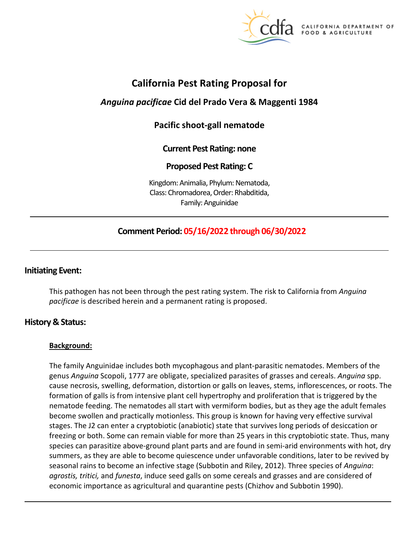

**CALIFORNIA DEPARTMENT OF** FOOD & AGRICULTURE

# **California Pest Rating Proposal for**

# *Anguina pacificae* **Cid del Prado Vera & Maggenti 1984**

# **Pacific shoot-gall nematode**

## **Current Pest Rating: none**

## **Proposed Pest Rating: C**

Kingdom: Animalia, Phylum: Nematoda, Class: Chromadorea, Order: Rhabditida, Family: Anguinidae

## **Comment Period: 05/16/2022 through 06/30/2022**

## **Initiating Event:**

This pathogen has not been through the pest rating system. The risk to California from *Anguina pacificae* is described herein and a permanent rating is proposed.

## **History & Status:**

## **Background:**

The family Anguinidae includes both mycophagous and plant-parasitic nematodes. Members of the genus *Anguina* Scopoli, 1777 are obligate, specialized parasites of grasses and cereals. *Anguina* spp. cause necrosis, swelling, deformation, distortion or galls on leaves, stems, inflorescences, or roots. The formation of galls is from intensive plant cell hypertrophy and proliferation that is triggered by the nematode feeding. The nematodes all start with vermiform bodies, but as they age the adult females become swollen and practically motionless. This group is known for having very effective survival stages. The J2 can enter a cryptobiotic (anabiotic) state that survives long periods of desiccation or freezing or both. Some can remain viable for more than 25 years in this cryptobiotic state. Thus, many species can parasitize above-ground plant parts and are found in semi-arid environments with hot, dry summers, as they are able to become quiescence under unfavorable conditions, later to be revived by seasonal rains to become an infective stage (Subbotin and Riley, 2012). Three species of *Anguina*: *agrostis, tritici,* and *funesta*, induce seed galls on some cereals and grasses and are considered of economic importance as agricultural and quarantine pests (Chizhov and Subbotin 1990).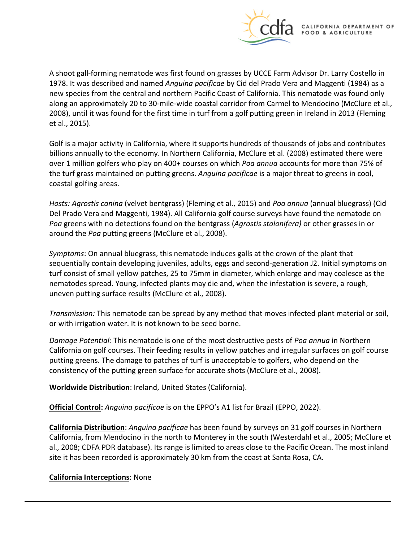

A shoot gall-forming nematode was first found on grasses by UCCE Farm Advisor Dr. Larry Costello in 1978. It was described and named *Anguina pacificae* by Cid del Prado Vera and Maggenti (1984) as a new species from the central and northern Pacific Coast of California. This nematode was found only along an approximately 20 to 30-mile-wide coastal corridor from Carmel to Mendocino (McClure et al., 2008), until it was found for the first time in turf from a golf putting green in Ireland in 2013 (Fleming et al., 2015).

Golf is a major activity in California, where it supports hundreds of thousands of jobs and contributes billions annually to the economy. In Northern California, McClure et al. (2008) estimated there were over 1 million golfers who play on 400+ courses on which *Poa annua* accounts for more than 75% of the turf grass maintained on putting greens. *Anguina pacificae* is a major threat to greens in cool, coastal golfing areas.

*Hosts: Agrostis canina* (velvet bentgrass) (Fleming et al., 2015) and *Poa annua* (annual bluegrass) (Cid Del Prado Vera and Maggenti, 1984). All California golf course surveys have found the nematode on *Poa* greens with no detections found on the bentgrass (*Agrostis stolonifera)* or other grasses in or around the *Poa* putting greens (McClure et al., 2008).

*Symptoms*: On annual bluegrass, this nematode induces galls at the crown of the plant that sequentially contain developing juveniles, adults, eggs and second-generation J2. Initial symptoms on turf consist of small yellow patches, 25 to 75mm in diameter, which enlarge and may coalesce as the nematodes spread. Young, infected plants may die and, when the infestation is severe, a rough, uneven putting surface results (McClure et al., 2008).

*Transmission:* This nematode can be spread by any method that moves infected plant material or soil, or with irrigation water. It is not known to be seed borne.

*Damage Potential:* This nematode is one of the most destructive pests of *Poa annua* in Northern California on golf courses. Their feeding results in yellow patches and irregular surfaces on golf course putting greens. The damage to patches of turf is unacceptable to golfers, who depend on the consistency of the putting green surface for accurate shots (McClure et al., 2008).

**Worldwide Distribution**: Ireland, United States (California).

**Official Control:** *Anguina pacificae* is on the EPPO's A1 list for Brazil (EPPO, 2022).

**California Distribution**: *Anguina pacificae* has been found by surveys on 31 golf courses in Northern California, from Mendocino in the north to Monterey in the south (Westerdahl et al., 2005; McClure et al., 2008; CDFA PDR database). Its range is limited to areas close to the Pacific Ocean. The most inland site it has been recorded is approximately 30 km from the coast at Santa Rosa, CA.

## **California Interceptions**: None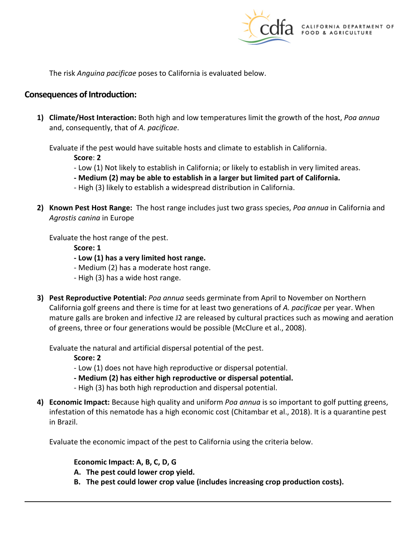

The risk *Anguina pacificae* poses to California is evaluated below.

## **Consequences of Introduction:**

**1) Climate/Host Interaction:** Both high and low temperatures limit the growth of the host, *Poa annua*  and, consequently, that of *A. pacificae*.

Evaluate if the pest would have suitable hosts and climate to establish in California.

**Score**: **2** 

- Low (1) Not likely to establish in California; or likely to establish in very limited areas.
- **- Medium (2) may be able to establish in a larger but limited part of California.**
- High (3) likely to establish a widespread distribution in California.
- **2) Known Pest Host Range:** The host range includes just two grass species, *Poa annua* in California and *Agrostis canina* in Europe

Evaluate the host range of the pest.

**Score: 1** 

- **- Low (1) has a very limited host range.**
- Medium (2) has a moderate host range.
- High (3) has a wide host range.
- **3) Pest Reproductive Potential:** *Poa annua* seeds germinate from April to November on Northern California golf greens and there is time for at least two generations of *A. pacificae* per year. When mature galls are broken and infective J2 are released by cultural practices such as mowing and aeration of greens, three or four generations would be possible (McClure et al., 2008).

Evaluate the natural and artificial dispersal potential of the pest.

**Score: 2** 

- Low (1) does not have high reproductive or dispersal potential.
- **- Medium (2) has either high reproductive or dispersal potential.**
- High (3) has both high reproduction and dispersal potential.
- **4) Economic Impact:** Because high quality and uniform *Poa annua* is so important to golf putting greens, infestation of this nematode has a high economic cost (Chitambar et al., 2018). It is a quarantine pest in Brazil.

Evaluate the economic impact of the pest to California using the criteria below.

#### **Economic Impact: A, B, C, D, G**

- **A. The pest could lower crop yield.**
- **B. The pest could lower crop value (includes increasing crop production costs).**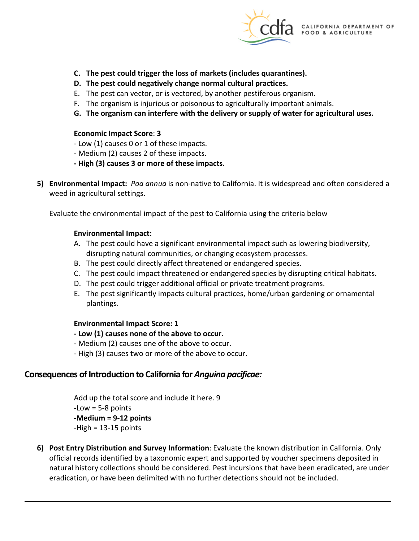

- **C. The pest could trigger the loss of markets (includes quarantines).**
- **D. The pest could negatively change normal cultural practices.**
- E. The pest can vector, or is vectored, by another pestiferous organism.
- F. The organism is injurious or poisonous to agriculturally important animals.
- **G. The organism can interfere with the delivery or supply of water for agricultural uses.**

#### **Economic Impact Score**: **3**

- Low (1) causes 0 or 1 of these impacts.
- Medium (2) causes 2 of these impacts.
- **- High (3) causes 3 or more of these impacts.**
- **5) Environmental Impact:** *Poa annua* is non-native to California. It is widespread and often considered a weed in agricultural settings.

Evaluate the environmental impact of the pest to California using the criteria below

#### **Environmental Impact:**

- A. The pest could have a significant environmental impact such as lowering biodiversity, disrupting natural communities, or changing ecosystem processes.
- B. The pest could directly affect threatened or endangered species.
- C. The pest could impact threatened or endangered species by disrupting critical habitats.
- D. The pest could trigger additional official or private treatment programs.
- E. The pest significantly impacts cultural practices, home/urban gardening or ornamental plantings.

#### **Environmental Impact Score: 1**

- **- Low (1) causes none of the above to occur.**
- Medium (2) causes one of the above to occur.
- High (3) causes two or more of the above to occur.

## **Consequences of Introduction to California for** *Anguina pacificae:*

Add up the total score and include it here. 9 -Low = 5-8 points **-Medium = 9-12 points**   $-High = 13-15$  points

**6) Post Entry Distribution and Survey Information**: Evaluate the known distribution in California. Only official records identified by a taxonomic expert and supported by voucher specimens deposited in natural history collections should be considered. Pest incursions that have been eradicated, are under eradication, or have been delimited with no further detections should not be included.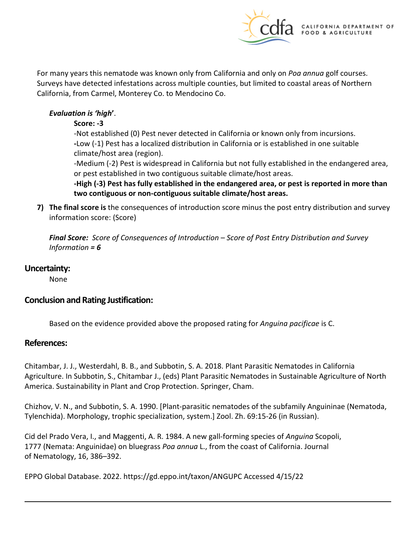

For many years this nematode was known only from California and only on *Poa annua* golf courses. Surveys have detected infestations across multiple counties, but limited to coastal areas of Northern California, from Carmel, Monterey Co. to Mendocino Co.

## *Evaluation is 'high***'**.

#### **Score: -3**

-Not established (0) Pest never detected in California or known only from incursions. **-**Low (-1) Pest has a localized distribution in California or is established in one suitable climate/host area (region).

-Medium (-2) Pest is widespread in California but not fully established in the endangered area, or pest established in two contiguous suitable climate/host areas.

**-High (-3) Pest has fully established in the endangered area, or pest is reported in more than two contiguous or non-contiguous suitable climate/host areas.** 

**7) The final score is** the consequences of introduction score minus the post entry distribution and survey information score: (Score)

*Final Score: Score of Consequences of Introduction – Score of Post Entry Distribution and Survey Information = 6* 

## **Uncertainty:**

None

## **Conclusion and Rating Justification:**

Based on the evidence provided above the proposed rating for *Anguina pacificae* is C.

## **References:**

Chitambar, J. J., Westerdahl, B. B., and Subbotin, S. A. 2018. Plant Parasitic Nematodes in California Agriculture. In Subbotin, S., Chitambar J., (eds) Plant Parasitic Nematodes in Sustainable Agriculture of North America. Sustainability in Plant and Crop Protection. Springer, Cham.

Chizhov, V. N., and Subbotin, S. A. 1990. [Plant-parasitic nematodes of the subfamily Anguininae (Nematoda, Tylenchida). Morphology, trophic specialization, system.] Zool. Zh. 69:15-26 (in Russian).

Cid del Prado Vera, I., and Maggenti, A. R. 1984. A new gall-forming species of *Anguina* Scopoli, 1777 (Nemata: Anguinidae) on bluegrass *Poa annua* L., from the coast of California. Journal of Nematology, 16, 386–392.

EPPO Global Database. 2022.<https://gd.eppo.int/taxon/ANGUPC>Accessed 4/15/22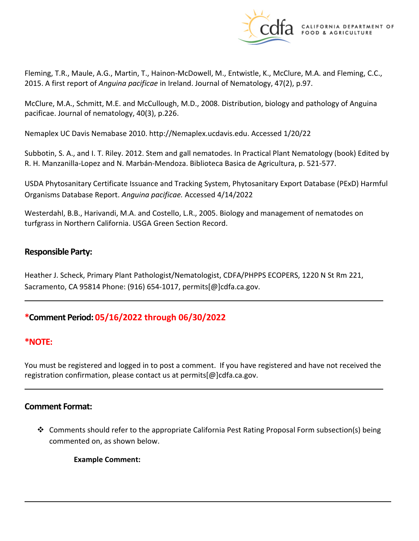

Fleming, T.R., Maule, A.G., Martin, T., Hainon-McDowell, M., Entwistle, K., McClure, M.A. and Fleming, C.C., 2015. A first report of *Anguina pacificae* in Ireland. Journal of Nematology, 47(2), p.97.

McClure, M.A., Schmitt, M.E. and McCullough, M.D., 2008. Distribution, biology and pathology of Anguina pacificae. Journal of nematology, 40(3), p.226.

Nemaplex UC Davis Nemabase 2010.<http://Nemaplex.ucdavis.edu>. Accessed 1/20/22

Subbotin, S. A., and I. T. Riley. 2012. Stem and gall nematodes. In Practical Plant Nematology (book) Edited by R. H. Manzanilla-Lopez and N. Marbán-Mendoza. Biblioteca Basica de Agricultura, p. 521-577.

USDA Phytosanitary Certificate Issuance and Tracking System, Phytosanitary Export Database (PExD) Harmful Organisms Database Report. *Anguina pacificae.* Accessed 4/14/2022

Westerdahl, B.B., Harivandi, M.A. and Costello, L.R., 2005. Biology and management of nematodes on turfgrass in Northern California. USGA Green Section Record.

## **Responsible Party:**

Heather J. Scheck, Primary Plant Pathologist/Nematologist, CDFA/PHPPS ECOPERS, 1220 N St Rm 221, Sacramento, CA 95814 Phone: (916) 654-1017, [permits\[@\]cdfa.ca.gov](https://permits[@]cdfa.ca.gov).

# **\*Comment Period: 05/16/2022 through 06/30/2022**

## **\*NOTE:**

You must be registered and logged in to post a comment. If you have registered and have not received the registration confirmation, please contact us at [permits\[@\]cdfa.ca.gov](https://permits[@]cdfa.ca.gov).

## **Comment Format:**

 $\clubsuit$  Comments should refer to the appropriate California Pest Rating Proposal Form subsection(s) being commented on, as shown below.

**Example Comment:**